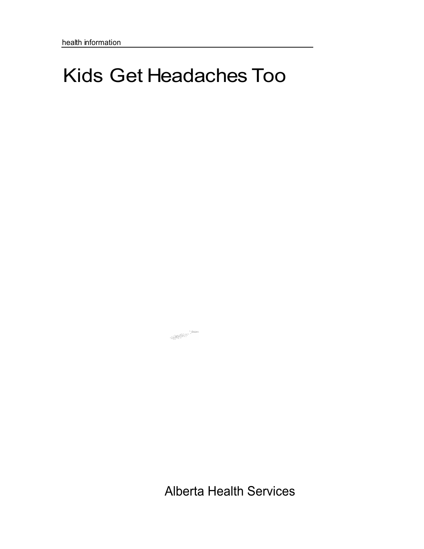# Kids Get Headaches Too

Alberta Health Services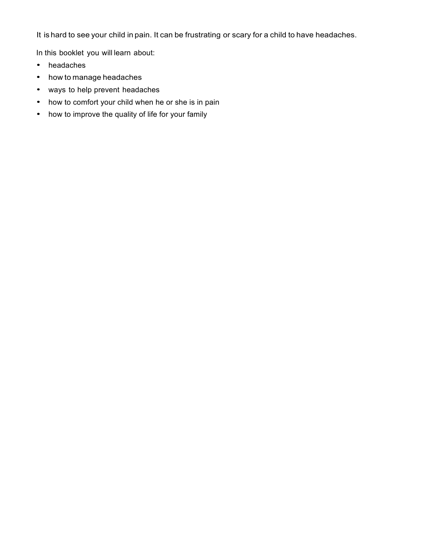It is hard to see your child in pain. It can be frustrating or scary for a child to have headaches.

In this booklet you will learn about:

- headaches
- how to manage headaches
- ways to help prevent headaches
- how to comfort your child when he or she is in pain
- how to improve the quality of life for your family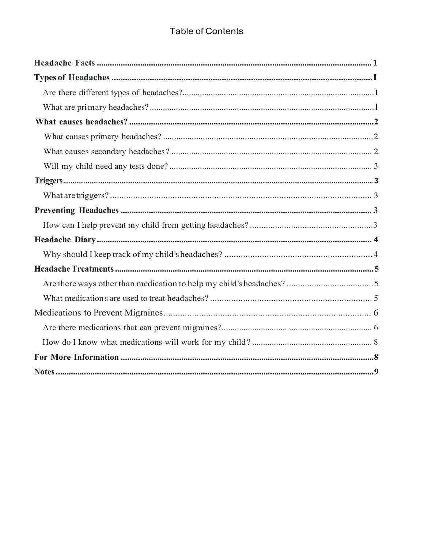# **Table of Contents**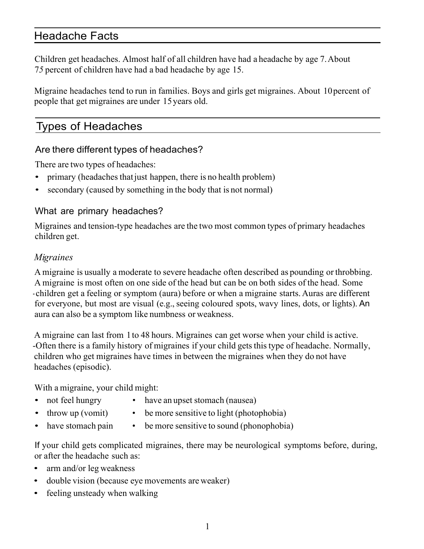# Headache Facts

Children get headaches. Almost half of all children have had a headache by age 7.About 7*5* percent of children have had a bad headache by age 15.

Migraine headaches tend to run in families. Boys and girls get migraines. About 10percent of people that get migraines are under 15years old.

# Types of Headaches

# Are there different types of headaches?

There are two types of headaches:

- primary (headaches that just happen, there is no health problem)
- secondary (caused by something in the body that is not normal)

# What are primary headaches?

Migraines and tension-type headaches are the two most common types of primary headaches children get.

## *Migraines*

A migraine is usually a moderate to severe headache often described as pounding or throbbing. A migraine is most often on one side of the head but can be on both sides of the head. Some - children get a feeling or symptom (aura) before or when a migraine starts. Auras are different for everyone, but most are visual (e.g., seeing coloured spots, wavy lines, dots, or lights). An aura can also be a symptom like numbness or weakness.

A migraine can last from 1to 48 hours. Migraines can get worse when your child is active. -Often there is a family history of migraines if your child gets this type of headache. Normally, children who get migraines have times in between the migraines when they do not have headaches (episodic).

With a migraine, your child might:

- 
- not feel hungry have an upset stomach (nausea)
- - throw up (vomit) be more sensitive to light (photophobia)
	- have stomach pain be more sensitive to sound (phonophobia)

If your child gets complicated migraines, there may be neurological symptoms before, during, or after the headache such as:

- arm and/or leg weakness
- double vision (because eye movements are weaker)
- feeling unsteady when walking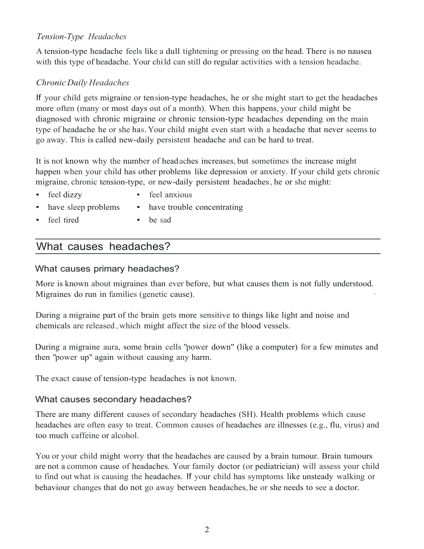## *Tension-Type Headaches*

A tension-type headache feels like a dull tightening or pressing on the head. There is no nausea with this type of headache. Your child can still do regular activities with a tension headache.

#### *Chronic Daily Headaches*

If your child gets migraine or tension-type headaches, he or she might start to get the headaches more often (many or most days out of a month). When this happens, your child might be diagnosed with chronic migraine or chronic tension-type headaches depending on the main type of headache he or she has. Your child might even start with a headache that never seems to go away. This is called new-daily persistent headache and can be hard to treat.

It is not known why the number of headaches increases, but sometimes the increase might happen when your child has other problems like depression or anxiety. If your child gets chronic migraine, chronic tension-type, or new-daily persistent headaches, he or she might:

• have trouble concentrating

- 
- feel dizzy feel anxious
- have sleep problems
- feel tired
- be sad

# What causes headaches?

#### What causes primary headaches?

More is known about migraines than ever before, but what causes them is not fully understood. Migraines do run in families (genetic cause).

During a migraine part of the brain gets more sensitive to things like light and noise and chemicals are released , which might affect the size of the blood vessels.

During a migraine aura, some brain cells "power down" (like a computer) for a few minutes and then "power up" again without causing any harm.

The exact cause of tension-type headaches is not known.

#### What causes secondary headaches?

There are many different causes of secondary headaches (SH). Health problems which cause headaches are often easy to treat. Common causes of headaches are illnesses (e.g., flu, virus) and too much caffeine or alcohol.

You or your child might worry that the headaches are caused by a brain tumour. Brain tumours are not a common cause of headaches. Your family doctor (or pediatrician) will assess your child to find out what is causing the headaches. If your child has symptoms like unsteady walking or behaviour changes that do not go away between headaches, he or she needs to see a doctor.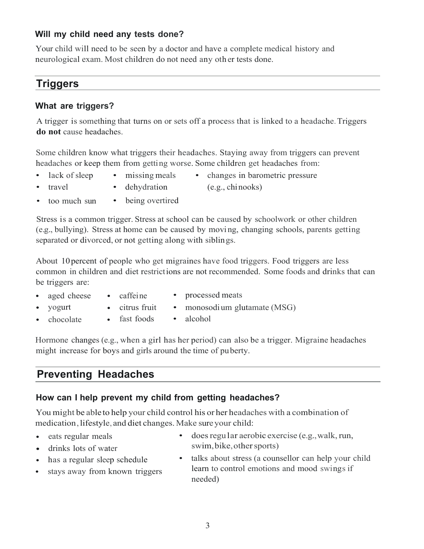## **Will my child need any tests done?**

Your child will need to be seen by a doctor and have a complete medical history and neurological exam. Most children do not need any oth er tests done.

# **Triggers**

## **What are triggers?**

A trigger is something that turns on or sets off a process that is linked to a headache.Triggers **do not** cause headaches.

Some children know what triggers their headaches. Staying away from triggers can prevent headaches or keep them from getting worse. Some children get headaches from:

- 
- lack of sleep missing meals changes in barometric pressure
- travel
- dehydration
- (e.g., chinooks)
- too much sun • being overtired

Stress is a common trigger. Stress at school can be caused by schoolwork or other children (e.g., bullying). Stress at home can be caused by moving, changing schools, parents getting separated or divorced, or not getting along with siblings.

About 10percent of people who get migraines have food triggers. Food triggers are less common in children and diet restrictions are not recommended. Some foods and drinks that can be triggers are:

- aged cheese
	- caffeine
- processed meats
- yogurt
- citrus fruit
- monosodium glutamate (MSG)
- chocolate fast foods alcohol
	-

Hormone changes (e.g., when a girl has her period) can also be a trigger. Migraine headaches might increase for boys and girls around the time of puberty.

# **Preventing Headaches**

## **How can I help prevent my child from getting headaches?**

You might be able to help your child control his or her headaches with a combination of medication, lifestyle, and diet changes. Make sure your child:

- eats regular meals
- drinks lots of water
- has a regular sleep schedule
- stays away from known triggers
- does regular aerobic exercise (e.g., walk, run, swim, bike, other sports)
- talks about stress (a counsellor can help your child learn to control emotions and mood swings if needed)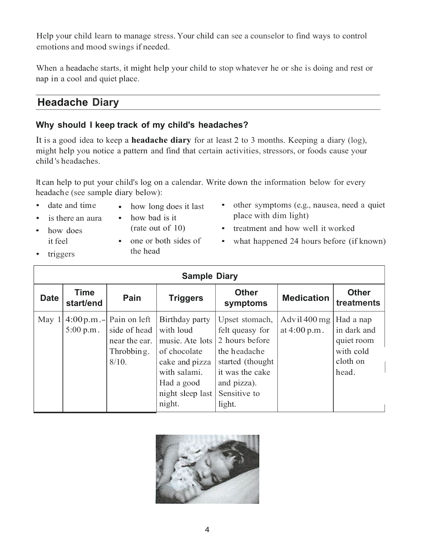Help your child learn to manage stress. Your child can see a counselor to find ways to control emotions and mood swings if needed.

When a headache starts, it might help your child to stop whatever he or she is doing and rest or nap in a cool and quiet place.

# **Headache Diary**

## **Why should I keep track of my child's headaches?**

It is a good idea to keep a **headache diary** for at least 2 to 3 months. Keeping a diary (log), might help you notice a pattern and find that certain activities, stressors, or foods cause your child 's headaches.

It can help to put your child's log on a calendar. Write down the information below for every headache (see sample diary below):

- date and time
- is there an aura
- how long does it last
- how bad is it
	- (rate out of 10)
- how does it feel • triggers
- one or both sides of the head
- other symptoms (e.g., nausea, need a quiet place with dim light)
- treatment and how well it worked
- what happened 24 hours before (if known)

| <b>Sample Diary</b> |                          |                                                                                       |                                                                                                                                              |                                                                                                                                                      |                                  |                                                                          |  |  |
|---------------------|--------------------------|---------------------------------------------------------------------------------------|----------------------------------------------------------------------------------------------------------------------------------------------|------------------------------------------------------------------------------------------------------------------------------------------------------|----------------------------------|--------------------------------------------------------------------------|--|--|
| <b>Date</b>         | <b>Time</b><br>start/end | Pain                                                                                  | <b>Triggers</b>                                                                                                                              | <b>Other</b><br>symptoms                                                                                                                             | <b>Medication</b>                | <b>Other</b><br>treatments                                               |  |  |
| May <sup>1</sup>    | 5:00 p.m.                | $4:00$ p.m. - Pain on left<br>side of head<br>near the ear.<br>Throbbing.<br>$8/10$ . | Birthday party<br>with loud<br>music. Ate lots<br>of chocolate<br>cake and pizza<br>with salami.<br>Had a good<br>night sleep last<br>night. | Upset stomach,<br>felt queasy for<br>2 hours before<br>the headache<br>started (thought)<br>it was the cake<br>and pizza).<br>Sensitive to<br>light. | Advil $400$ mg<br>at $4:00 p.m.$ | Had a nap<br>in dark and<br>quiet room<br>with cold<br>cloth on<br>head. |  |  |

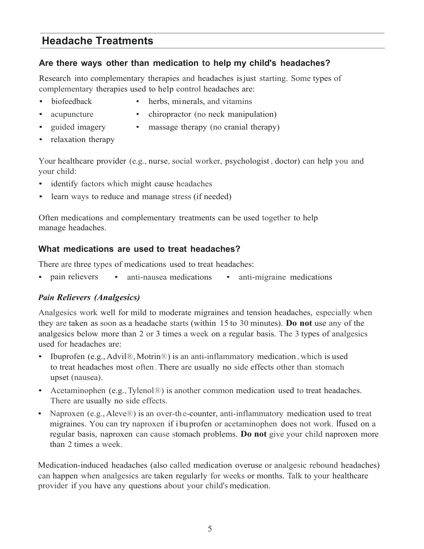# **Headache Treatments**

## **Are there ways other than medication to help my child's headaches?**

Research into complementary therapies and headaches isjust starting. Some types of complementary therapies used to help control headaches are:

- 
- biofeedback herbs, minerals, and vitamins
- - acupuncture chiropractor (no neck manipulation)
- 
- guided imagery massage therapy (no cranial therapy)
- relaxation therapy

Your healthcare provider (e.g., nurse, social worker, psychologist , doctor) can help you and your child:

- identify factors which might cause headaches
- learn ways to reduce and manage stress (if needed)

Often medications and complementary treatments can be used together to help manage headaches.

## **What medications are used to treat headaches?**

There are three types of medications used to treat headaches:

• pain relievers • anti-nausea medications • anti-migraine medications

## *Pain Relievers (Analgesics)*

Analgesics work well for mild to moderate migraines and tension headaches, especially when they are taken as soon as a headache starts (within 15 to 30 minutes). **Do not** use any of the analgesics below more than 2 or 3 times a week on a regular basis. The 3 types of analgesics used for headaches are:

- Ibuprofen (e.g.,Advil®,Motrin®) is an anti-inflammatory medication , which is used to treat headaches most often. There are usually no side effects other than stomach upset (nausea).
- Acetaminophen (e.g., Tylenol<sup>®</sup>) is another common medication used to treat headaches. There are usually no side effects.
- Naproxen (e.g., Aleve<sup>®</sup>) is an over-the-counter, anti-inflammatory medication used to treat migraines. You can try naproxen if i buprofen or acetaminophen does not work. Ifused on a regular basis, naproxen can cause stomach problems. **Do not** give your child naproxen more than 2 times a week.

Medication-induced headaches (also called medication overuse or analgesic rebound headaches) can happen when analgesics are taken regularly for weeks or months. Talk to your healthcare provider if you have any questions about your child's medication.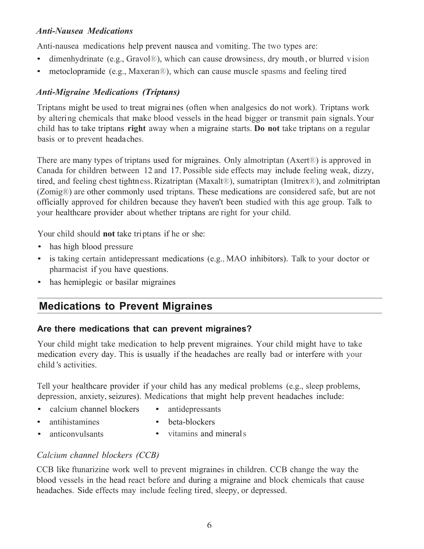## *Anti-Nausea Medications*

Anti-nausea medications help prevent nausea and vomiting. The two types are:

- dimenhydrinate (e.g., Gravol®), which can cause drowsiness, dry mouth, or blurred vision
- metoclopramide (e.g., Maxeran®), which can cause muscle spasms and feeling tired

## *Anti-Migraine Medications (Triptans)*

Triptans might be used to treat migrai nes (often when analgesics do not work). Triptans work by altering chemicals that make blood vessels in the head bigger or transmit pain signals.Your child has to take triptans **right** away when a migraine starts. **Do not** take triptans on a regular basis or to prevent headaches.

There are many types of triptans used for migraines. Only almotriptan (Axert®) is approved in Canada for children between 12 and 17. Possible side effects may include feeling weak, dizzy, tired, and feeling chest tightness. Rizatriptan (Maxalt®), sumatriptan (Imitrex®), and zolmitriptan (Zomig®) are other commonly used triptans. These medications are considered safe, but are not officially approved for children because they haven't been studied with this age group. Talk to your healthcare provider about whether triptans are right for your child.

Your child should **not** take triptans if he or she:

- has high blood pressure
- is taking certain antidepressant medications (e.g., MAO inhibitors). Talk to your doctor or pharmacist if you have questions.
- has hemiplegic or basilar migraines

# **Medications to Prevent Migraines**

## **Are there medications that can prevent migraines?**

Your child might take medication to help prevent migraines. Your child might have to take medication every day. This is usually if the headaches are really bad or interfere with your child 's activities.

Tell your healthcare provider if your child has any medical problems (e.g., sleep problems, depression, anxiety, seizures). Medications that might help prevent headaches include:

- calcium channel blockers • antidepressants
- antihistamines
- 
- 
- beta-blockers
- anticonvulsants • vitamins and minerals

## *Calcium channel blockers (CCB)*

CCB like ftunarizine work well to prevent migraines in children. CCB change the way the blood vessels in the head react before and during a migraine and block chemicals that cause headaches. Side effects may include feeling tired, sleepy, or depressed.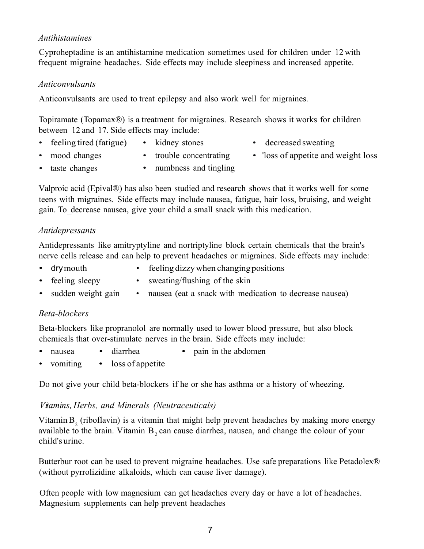## *Antihistamines*

Cyproheptadine is an antihistamine medication sometimes used for children under 12 with frequent migraine headaches. Side effects may include sleepiness and increased appetite.

#### *Anticonvulsants*

Anticonvulsants are used to treat epilepsy and also work well for migraines.

Topiramate (Topamax®) is a treatment for migraines. Research shows it works for children between 12 and 17. Side effects may include:

- feeling tired (fatigue) kidney stones decreased sweating
- 
- 
- mood changes
- trouble concentrating
- 'loss of appetite and weight loss

- taste changes
- numbness and tingling

Valproic acid (Epival®) has also been studied and research shows that it works well for some teens with migraines. Side effects may include nausea, fatigue, hair loss, bruising, and weight gain. To\_decrease nausea, give your child a small snack with this medication.

## *Antidepressants*

Antidepressants like amitryptyline and nortriptyline block certain chemicals that the brain's nerve cells release and can help to prevent headaches or migraines. Side effects may include:

- 
- drymouth feeling dizzy when changing positions
- 
- feeling sleepy sweating/flushing of the skin
- sudden weight gain nausea (eat a snack with medication to decrease nausea)

## *Beta-blockers*

Beta-blockers like propranolol are normally used to lower blood pressure, but also block chemicals that over-stimulate nerves in the brain. Side effects may include:

- nausea diarrhea pain in the abdomen
- vomiting loss of appetite

Do not give your child beta-blockers if he or she has asthma or a history of wheezing.

## *Vitamins, Herbs, and Minerals (Neutraceuticals)*

Vitamin  $B_2$  (riboflavin) is a vitamin that might help prevent headaches by making more energy available to the brain. Vitamin  $B_2$  can cause diarrhea, nausea, and change the colour of your child'surine.

Butterbur root can be used to prevent migraine headaches. Use safe preparations like Petadolex<sup>®</sup> (without pyrrolizidine alkaloids, which can cause liver damage).

Often people with low magnesium can get headaches every day or have a lot of headaches. Magnesium supplements can help prevent headaches